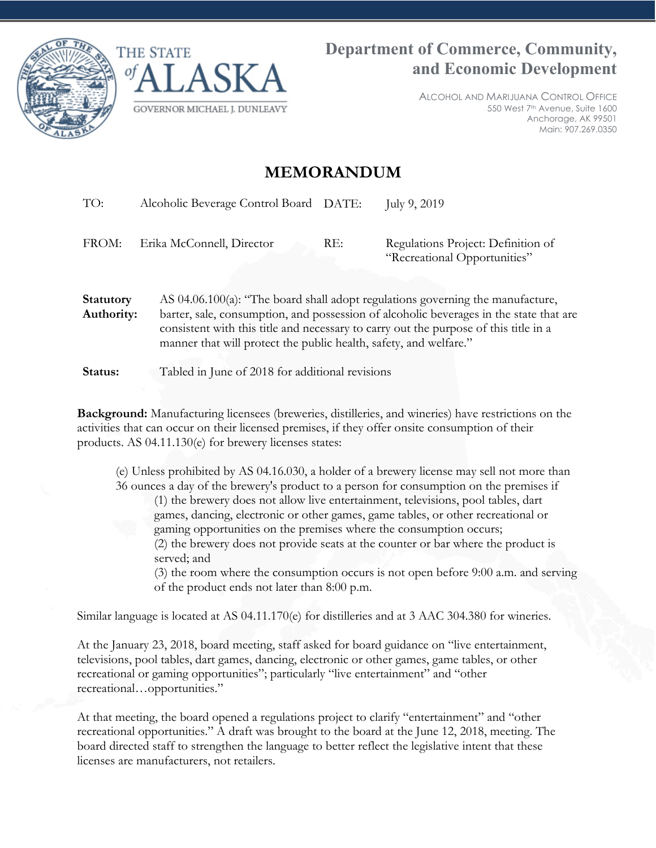



ALCOHOL AND MARIJUANA CONTROL OFFICE 550 West 7th Avenue, Suite 1600 Anchorage, AK 99501 Main: 907.269.0350

## **MEMORANDUM**

TO: Alcoholic Beverage Control Board DATE: July 9, 2019 FROM: Erika McConnell, Director RE: Regulations Project: Definition of "Recreational Opportunities" **Statutory Authority:**  AS 04.06.100(a): "The board shall adopt regulations governing the manufacture, barter, sale, consumption, and possession of alcoholic beverages in the state that are consistent with this title and necessary to carry out the purpose of this title in a manner that will protect the public health, safety, and welfare."

**Status:** Tabled in June of 2018 for additional revisions

**Background:** Manufacturing licensees (breweries, distilleries, and wineries) have restrictions on the activities that can occur on their licensed premises, if they offer onsite consumption of their products. AS 04.11.130(e) for brewery licenses states:

(e) Unless prohibited by AS 04.16.030, a holder of a brewery license may sell not more than 36 ounces a day of the brewery's product to a person for consumption on the premises if

(1) the brewery does not allow live entertainment, televisions, pool tables, dart games, dancing, electronic or other games, game tables, or other recreational or gaming opportunities on the premises where the consumption occurs; (2) the brewery does not provide seats at the counter or bar where the product is served; and

(3) the room where the consumption occurs is not open before 9:00 a.m. and serving of the product ends not later than 8:00 p.m.

Similar language is located at AS 04.11.170(e) for distilleries and at 3 AAC 304.380 for wineries.

At the January 23, 2018, board meeting, staff asked for board guidance on "live entertainment, televisions, pool tables, dart games, dancing, electronic or other games, game tables, or other recreational or gaming opportunities"; particularly "live entertainment" and "other recreational…opportunities."

At that meeting, the board opened a regulations project to clarify "entertainment" and "other recreational opportunities." A draft was brought to the board at the June 12, 2018, meeting. The board directed staff to strengthen the language to better reflect the legislative intent that these licenses are manufacturers, not retailers.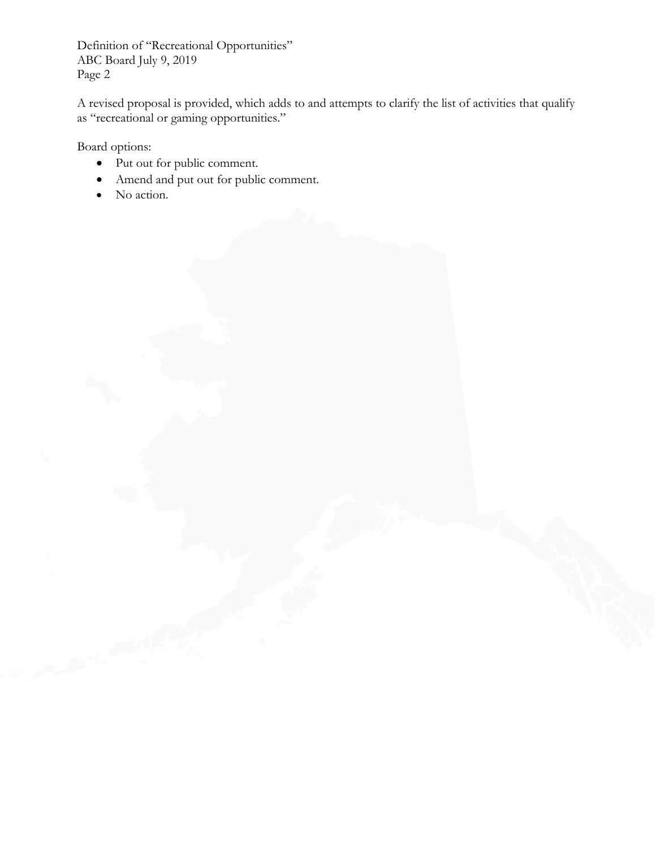Definition of "Recreational Opportunities" ABC Board July 9, 2019 Page 2

A revised proposal is provided, which adds to and attempts to clarify the list of activities that qualify as "recreational or gaming opportunities."

Board options:

- Put out for public comment.
- Amend and put out for public comment.
- No action.